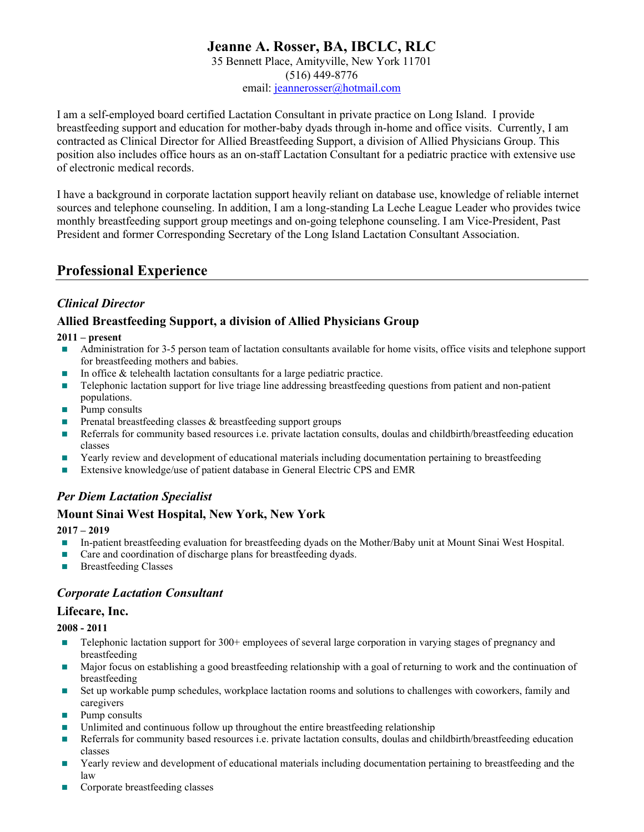# Jeanne A. Rosser, BA, IBCLC, RLC

35 Bennett Place, Amityville, New York 11701 (516) 449-8776 email: jeannerosser@hotmail.com

I am a self-employed board certified Lactation Consultant in private practice on Long Island. I provide breastfeeding support and education for mother-baby dyads through in-home and office visits. Currently, I am contracted as Clinical Director for Allied Breastfeeding Support, a division of Allied Physicians Group. This position also includes office hours as an on-staff Lactation Consultant for a pediatric practice with extensive use of electronic medical records.

I have a background in corporate lactation support heavily reliant on database use, knowledge of reliable internet sources and telephone counseling. In addition, I am a long-standing La Leche League Leader who provides twice monthly breastfeeding support group meetings and on-going telephone counseling. I am Vice-President, Past President and former Corresponding Secretary of the Long Island Lactation Consultant Association.

# Professional Experience

## Clinical Director

### Allied Breastfeeding Support, a division of Allied Physicians Group

### 2011 – present

- Administration for 3-5 person team of lactation consultants available for home visits, office visits and telephone support for breastfeeding mothers and babies.
- In office  $&$  telehealth lactation consultants for a large pediatric practice.
- **Telephonic lactation support for live triage line addressing breastfeeding questions from patient and non-patient** populations.
- **Pump consults**
- **Prenatal breastfeeding classes**  $\&$  **breastfeeding support groups**
- Referrals for community based resources i.e. private lactation consults, doulas and childbirth/breastfeeding education classes
- **T** Yearly review and development of educational materials including documentation pertaining to breastfeeding
- Extensive knowledge/use of patient database in General Electric CPS and EMR

## Per Diem Lactation Specialist

### Mount Sinai West Hospital, New York, New York

### 2017 – 2019

- In-patient breastfeeding evaluation for breastfeeding dyads on the Mother/Baby unit at Mount Sinai West Hospital.
- Care and coordination of discharge plans for breastfeeding dyads.
- **Breastfeeding Classes**

### Corporate Lactation Consultant

### Lifecare, Inc.

2008 - 2011

- Telephonic lactation support for 300+ employees of several large corporation in varying stages of pregnancy and breastfeeding
- Major focus on establishing a good breastfeeding relationship with a goal of returning to work and the continuation of breastfeeding
- Set up workable pump schedules, workplace lactation rooms and solutions to challenges with coworkers, family and caregivers
- **Pump consults**
- Unlimited and continuous follow up throughout the entire breastfeeding relationship
- Referrals for community based resources i.e. private lactation consults, doulas and childbirth/breastfeeding education classes
- **Tearly review and development of educational materials including documentation pertaining to breastfeeding and the** law
- Corporate breastfeeding classes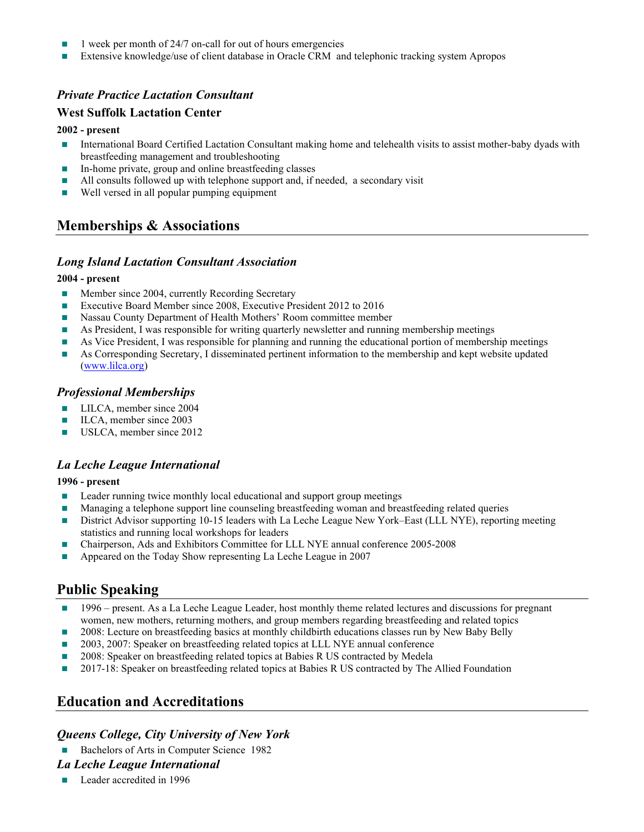- 1 week per month of 24/7 on-call for out of hours emergencies
- **Extensive knowledge/use of client database in Oracle CRM and telephonic tracking system Apropos**

### Private Practice Lactation Consultant

### West Suffolk Lactation Center

#### 2002 - present

- International Board Certified Lactation Consultant making home and telehealth visits to assist mother-baby dyads with breastfeeding management and troubleshooting
- In-home private, group and online breastfeeding classes
- All consults followed up with telephone support and, if needed, a secondary visit
- Well versed in all popular pumping equipment

## Memberships & Associations

### Long Island Lactation Consultant Association

#### 2004 - present

- **Member since 2004, currently Recording Secretary**
- Executive Board Member since 2008, Executive President 2012 to 2016
- **Nassau County Department of Health Mothers' Room committee member**
- **As President, I was responsible for writing quarterly newsletter and running membership meetings**
- As Vice President, I was responsible for planning and running the educational portion of membership meetings
- As Corresponding Secretary, I disseminated pertinent information to the membership and kept website updated (www.lilca.org)

### Professional Memberships

- **LILCA**, member since 2004
- **ILCA, member since 2003**
- USLCA, member since 2012

### La Leche League International

#### 1996 - present

- **Leader running twice monthly local educational and support group meetings**
- **Managing a telephone support line counseling breastfeeding woman and breastfeeding related queries**
- District Advisor supporting 10-15 leaders with La Leche League New York–East (LLL NYE), reporting meeting statistics and running local workshops for leaders
- Chairperson, Ads and Exhibitors Committee for LLL NYE annual conference 2005-2008
- Appeared on the Today Show representing La Leche League in 2007

## Public Speaking

- 1996 present. As a La Leche League Leader, host monthly theme related lectures and discussions for pregnant women, new mothers, returning mothers, and group members regarding breastfeeding and related topics
- 2008: Lecture on breastfeeding basics at monthly childbirth educations classes run by New Baby Belly
- 2003, 2007: Speaker on breastfeeding related topics at LLL NYE annual conference
- 2008: Speaker on breastfeeding related topics at Babies R US contracted by Medela
- 2017-18: Speaker on breastfeeding related topics at Babies R US contracted by The Allied Foundation

## Education and Accreditations

### Queens College, City University of New York

Bachelors of Arts in Computer Science 1982

#### La Leche League International

**Leader accredited in 1996**